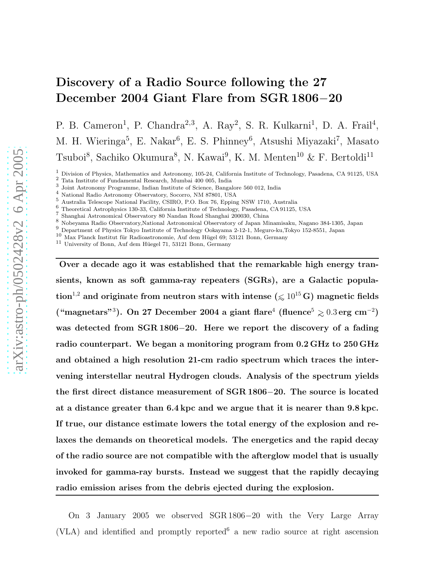# Discovery of a Radio Source following the 27 December 2004 Giant Flare from SGR 1806-20

P. B. Cameron<sup>1</sup>, P. Chandra<sup>2,3</sup>, A. Ray<sup>2</sup>, S. R. Kulkarni<sup>1</sup>, D. A. Frail<sup>4</sup>, M. H. Wieringa<sup>5</sup>, E. Nakar<sup>6</sup>, E. S. Phinney<sup>6</sup>, Atsushi Miyazaki<sup>7</sup>, Masato Tsuboi<sup>8</sup>, Sachiko Okumura<sup>8</sup>, N. Kawai<sup>9</sup>, K. M. Menten<sup>10</sup> & F. Bertoldi<sup>11</sup>

 $^1$  Division of Physics, Mathematics and Astronomy, 105-24, California Institute of Technology, Pasadena, CA 91125, USA  $^2$  Tata Institute of Fundamental Research, Mumbai 400 005, India

10 Max Planck Institut für Radioastronomie, Auf dem Hügel 69; 53121 Bonn, Germany

 $^{11}\,$  University of Bonn, Auf dem Hüegel 71, 53121 Bonn, Germany

Over a decade ago it was established that the remarkable high energy transients, known as soft gamma-ray repeaters (SGRs), are a Galactic population<sup>1,2</sup> and originate from neutron stars with intense ( $\leq 10^{15}$  G) magnetic fields ("magnetars"3). On 27 December 2004 a giant flare<sup>4</sup> (fluence<sup>5</sup>  $\gtrsim 0.3\,{\rm erg\ cm^{-2}})$ was detected from SGR 1806-20. Here we report the discovery of a fading radio counterpart. We began a monitoring program from 0.2 GHz to 250 GHz and obtained a high resolution 21-cm radio spectrum which traces the intervening interstellar neutral Hydrogen clouds. Analysis of the spectrum yields the first direct distance measurement of SGR 1806–20. The source is located at a distance greater than 6.4 kpc and we argue that it is nearer than 9.8 kpc. If true, our distance estimate lowers the total energy of the explosion and relaxes the demands on theoretical models. The energetics and the rapid decay of the radio source are not compatible with the afterglow model that is usually invoked for gamma-ray bursts. Instead we suggest that the rapidly decaying radio emission arises from the debris ejected during the explosion.

On 3 January 2005 we observed SGR 1806-20 with the Very Large Array (VLA) and identified and promptly reported <sup>6</sup> a new radio source at right ascension

 $^3$  Joint Astronomy Programme, Indian Institute of Science, Bangalore 560 012, India $^4$ National Radio Astronomy Observatory, Socorro, NM 87801, USA

<sup>4</sup> National Radio Astronomy Observatory, Socorro, NM 87801, USA<br>5 Australia Telescope National Facility, CSIRO, P.O. Box 76, Epping NSW 1710, Australia<br>6 Theoretical Astrophysics 130-33, California Institute of Technology,

Shanghai Astronomical Observatory 80 Nandan Road Shanghai 200030, China

<sup>8</sup> Nobeyama Radio Observatory,National Astronomical Observatory of Japan Minamisaku, Nagano 384-1305, Japan <sup>9</sup> Department of Physics Tokyo Institute of Technology Ookayama 2-12-1, Meguro-ku,Tokyo 152-8551, Japan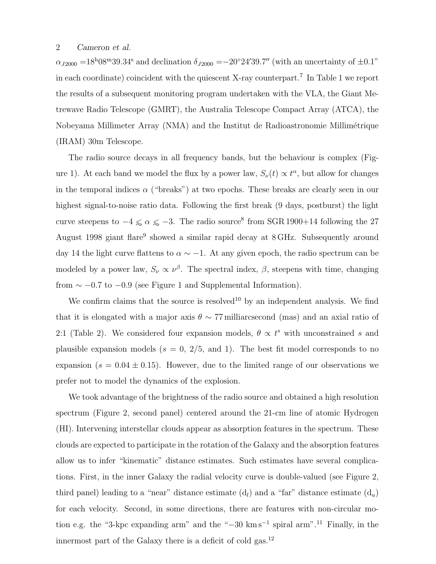$\alpha_{J2000}$  =18<sup>h</sup>08<sup>m</sup>39.34<sup>s</sup> and declination  $\delta_{J2000}$  =-20°24'39.7" (with an uncertainty of  $\pm 0.1$ " in each coordinate) coincident with the quiescent X-ray counterpart.<sup>7</sup> In Table 1 we report the results of a subsequent monitoring program undertaken with the VLA, the Giant Metrewave Radio Telescope (GMRT), the Australia Telescope Compact Array (ATCA), the Nobeyama Millimeter Array (NMA) and the Institut de Radioastronomie Millim´etrique (IRAM) 30m Telescope.

The radio source decays in all frequency bands, but the behaviour is complex (Figure 1). At each band we model the flux by a power law,  $S_{\nu}(t) \propto t^{\alpha}$ , but allow for changes in the temporal indices  $\alpha$  ("breaks") at two epochs. These breaks are clearly seen in our highest signal-to-noise ratio data. Following the first break (9 days, postburst) the light curve steepens to  $-4 \le \alpha \le -3$ . The radio source<sup>8</sup> from SGR 1900+14 following the 27 August 1998 giant flare<sup>9</sup> showed a similar rapid decay at 8 GHz. Subsequently around day 14 the light curve flattens to  $\alpha \sim -1$ . At any given epoch, the radio spectrum can be modeled by a power law,  $S_{\nu} \propto \nu^{\beta}$ . The spectral index,  $\beta$ , steepens with time, changing from  $\sim -0.7$  to  $-0.9$  (see Figure 1 and Supplemental Information).

We confirm claims that the source is resolved<sup>10</sup> by an independent analysis. We find that it is elongated with a major axis  $\theta \sim 77$  milliarcsecond (mas) and an axial ratio of 2:1 (Table 2). We considered four expansion models,  $\theta \propto t^s$  with unconstrained s and plausible expansion models  $(s = 0, 2/5, \text{ and } 1)$ . The best fit model corresponds to no expansion ( $s = 0.04 \pm 0.15$ ). However, due to the limited range of our observations we prefer not to model the dynamics of the explosion.

We took advantage of the brightness of the radio source and obtained a high resolution spectrum (Figure 2, second panel) centered around the 21-cm line of atomic Hydrogen (HI). Intervening interstellar clouds appear as absorption features in the spectrum. These clouds are expected to participate in the rotation of the Galaxy and the absorption features allow us to infer "kinematic" distance estimates. Such estimates have several complications. First, in the inner Galaxy the radial velocity curve is double-valued (see Figure 2, third panel) leading to a "near" distance estimate  $(d_l)$  and a "far" distance estimate  $(d_u)$ for each velocity. Second, in some directions, there are features with non-circular motion e.g. the "3-kpc expanding arm" and the "−30 km s<sup>−</sup><sup>1</sup> spiral arm".<sup>11</sup> Finally, in the innermost part of the Galaxy there is a deficit of cold gas. $^{12}$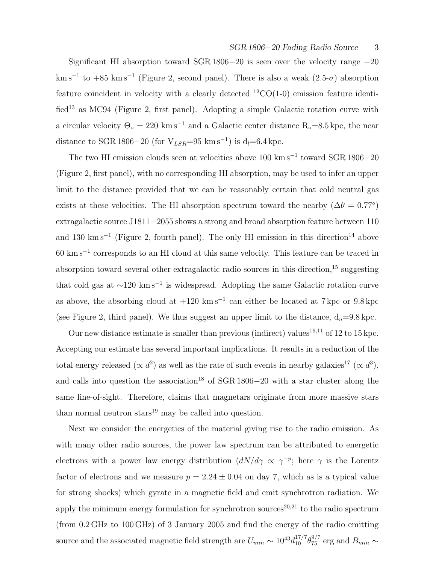Significant HI absorption toward SGR 1806−20 is seen over the velocity range −20  $km s^{-1}$  to  $+85$  km s<sup>-1</sup> (Figure 2, second panel). There is also a weak  $(2.5- $\sigma$ )$  absorption feature coincident in velocity with a clearly detected  ${}^{12}CO(1-0)$  emission feature identified<sup>13</sup> as MC94 (Figure 2, first panel). Adopting a simple Galactic rotation curve with a circular velocity  $\Theta_{\circ} = 220 \text{ km s}^{-1}$  and a Galactic center distance R<sub>°</sub>=8.5 kpc, the near distance to SGR 1806–20 (for  $V_{LSR}$ =95 km s<sup>-1</sup>) is d<sub>l</sub>=6.4 kpc.

The two HI emission clouds seen at velocities above  $100 \text{ km s}^{-1}$  toward SGR 1806−20 (Figure 2, first panel), with no corresponding HI absorption, may be used to infer an upper limit to the distance provided that we can be reasonably certain that cold neutral gas exists at these velocities. The HI absorption spectrum toward the nearby  $(\Delta \theta = 0.77^{\circ})$ extragalactic source J1811−2055 shows a strong and broad absorption feature between 110 and 130 km s<sup>-1</sup> (Figure 2, fourth panel). The only HI emission in this direction<sup>14</sup> above 60 km s<sup>−</sup><sup>1</sup> corresponds to an HI cloud at this same velocity. This feature can be traced in absorption toward several other extragalactic radio sources in this direction,<sup>15</sup> suggesting that cold gas at ∼120 km s<sup>−</sup><sup>1</sup> is widespread. Adopting the same Galactic rotation curve as above, the absorbing cloud at  $+120 \text{ km s}^{-1}$  can either be located at 7 kpc or 9.8 kpc (see Figure 2, third panel). We thus suggest an upper limit to the distance,  $d_u=9.8$  kpc.

Our new distance estimate is smaller than previous (indirect) values<sup>16,11</sup> of 12 to 15 kpc. Accepting our estimate has several important implications. It results in a reduction of the total energy released  $(\propto d^2)$  as well as the rate of such events in nearby galaxies<sup>17</sup>  $(\propto d^3)$ , and calls into question the association<sup>18</sup> of SGR 1806−20 with a star cluster along the same line-of-sight. Therefore, claims that magnetars originate from more massive stars than normal neutron stars $19 \text{ may be called into question.}$ 

Next we consider the energetics of the material giving rise to the radio emission. As with many other radio sources, the power law spectrum can be attributed to energetic electrons with a power law energy distribution  $(dN/d\gamma \propto \gamma^{-p})$ ; here  $\gamma$  is the Lorentz factor of electrons and we measure  $p = 2.24 \pm 0.04$  on day 7, which as is a typical value for strong shocks) which gyrate in a magnetic field and emit synchrotron radiation. We apply the minimum energy formulation for synchrotron sources<sup>20,21</sup> to the radio spectrum (from 0.2 GHz to 100 GHz) of 3 January 2005 and find the energy of the radio emitting source and the associated magnetic field strength are  $U_{min} \sim 10^{43} d_{10}^{17/7} \theta_{75}^{9/7}$  erg and  $B_{min} \sim$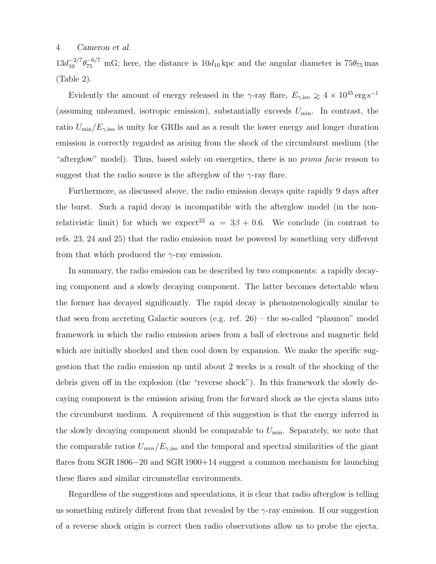$13d_{10}^{-2/7}\theta_{75}^{-6/7}$  mG; here, the distance is  $10d_{10}$  kpc and the angular diameter is  $75\theta_{75}$  mas (Table 2).

Evidently the amount of energy released in the γ-ray flare,  $E_{\gamma,\rm iso}\gtrsim 4\times 10^{45}\,{\rm erg\,s^{-1}}$ (assuming unbeamed, isotropic emission), substantially exceeds  $U_{\min}$ . In contrast, the ratio  $U_{\rm min}/E_{\gamma,\rm iso}$  is unity for GRBs and as a result the lower energy and longer duration emission is correctly regarded as arising from the shock of the circumburst medium (the "afterglow" model). Thus, based solely on energetics, there is no *prima facie* reason to suggest that the radio source is the afterglow of the  $\gamma$ -ray flare.

Furthermore, as discussed above, the radio emission decays quite rapidly 9 days after the burst. Such a rapid decay is incompatible with the afterglow model (in the nonrelativistic limit) for which we expect<sup>22</sup>  $\alpha = 3\beta + 0.6$ . We conclude (in contrast to refs. 23, 24 and 25) that the radio emission must be powered by something very different from that which produced the  $\gamma$ -ray emission.

In summary, the radio emission can be described by two components: a rapidly decaying component and a slowly decaying component. The latter becomes detectable when the former has decayed significantly. The rapid decay is phenomenologically similar to that seen from accreting Galactic sources (e.g. ref. 26) – the so-called "plasmon" model framework in which the radio emission arises from a ball of electrons and magnetic field which are initially shocked and then cool down by expansion. We make the specific suggestion that the radio emission up until about 2 weeks is a result of the shocking of the debris given off in the explosion (the "reverse shock"). In this framework the slowly decaying component is the emission arising from the forward shock as the ejecta slams into the circumburst medium. A requirement of this suggestion is that the energy inferred in the slowly decaying component should be comparable to  $U_{\text{min}}$ . Separately, we note that the comparable ratios  $U_{min}/E_{\gamma,iso}$  and the temporal and spectral similarities of the giant flares from SGR 1806−20 and SGR 1900+14 suggest a common mechanism for launching these flares and similar circumstellar environments.

Regardless of the suggestions and speculations, it is clear that radio afterglow is telling us something entirely different from that revealed by the  $\gamma$ -ray emission. If our suggestion of a reverse shock origin is correct then radio observations allow us to probe the ejecta.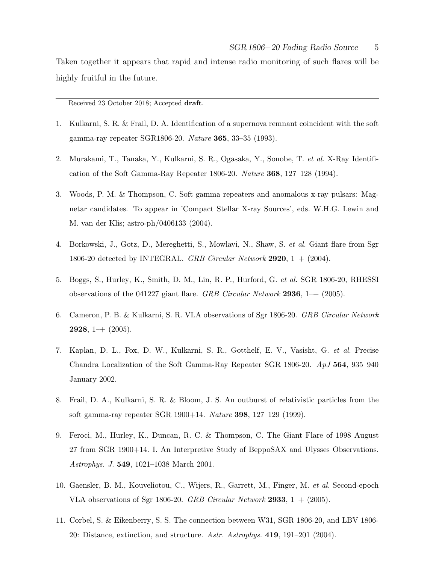Taken together it appears that rapid and intense radio monitoring of such flares will be highly fruitful in the future.

Received 23 October 2018; Accepted draft.

- 1. Kulkarni, S. R. & Frail, D. A. Identification of a supernova remnant coincident with the soft gamma-ray repeater SGR1806-20. Nature 365, 33–35 (1993).
- 2. Murakami, T., Tanaka, Y., Kulkarni, S. R., Ogasaka, Y., Sonobe, T. et al. X-Ray Identification of the Soft Gamma-Ray Repeater 1806-20. Nature 368, 127–128 (1994).
- 3. Woods, P. M. & Thompson, C. Soft gamma repeaters and anomalous x-ray pulsars: Magnetar candidates. To appear in 'Compact Stellar X-ray Sources', eds. W.H.G. Lewin and M. van der Klis; astro-ph/0406133 (2004).
- 4. Borkowski, J., Gotz, D., Mereghetti, S., Mowlavi, N., Shaw, S. et al. Giant flare from Sgr 1806-20 detected by INTEGRAL. GRB Circular Network 2920,  $1$  – + (2004).
- 5. Boggs, S., Hurley, K., Smith, D. M., Lin, R. P., Hurford, G. et al. SGR 1806-20, RHESSI observations of the 041227 giant flare. GRB Circular Network 2936,  $1-$  (2005).
- 6. Cameron, P. B. & Kulkarni, S. R. VLA observations of Sgr 1806-20. GRB Circular Network **2928**, 1–+  $(2005)$ .
- 7. Kaplan, D. L., Fox, D. W., Kulkarni, S. R., Gotthelf, E. V., Vasisht, G. et al. Precise Chandra Localization of the Soft Gamma-Ray Repeater SGR 1806-20. ApJ 564, 935–940 January 2002.
- 8. Frail, D. A., Kulkarni, S. R. & Bloom, J. S. An outburst of relativistic particles from the soft gamma-ray repeater SGR 1900+14. Nature 398, 127–129 (1999).
- 9. Feroci, M., Hurley, K., Duncan, R. C. & Thompson, C. The Giant Flare of 1998 August 27 from SGR 1900+14. I. An Interpretive Study of BeppoSAX and Ulysses Observations. Astrophys. J. 549, 1021–1038 March 2001.
- 10. Gaensler, B. M., Kouveliotou, C., Wijers, R., Garrett, M., Finger, M. et al. Second-epoch VLA observations of Sgr 1806-20. GRB Circular Network 2933,  $1$ – $+$  (2005).
- 11. Corbel, S. & Eikenberry, S. S. The connection between W31, SGR 1806-20, and LBV 1806- 20: Distance, extinction, and structure. Astr. Astrophys. 419, 191–201 (2004).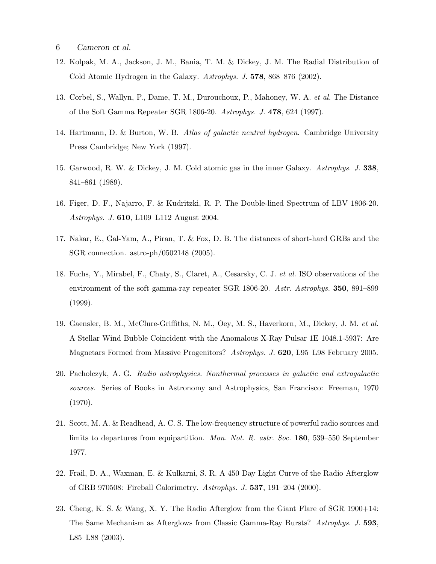- 6 Cameron et al.
- 12. Kolpak, M. A., Jackson, J. M., Bania, T. M. & Dickey, J. M. The Radial Distribution of Cold Atomic Hydrogen in the Galaxy. Astrophys. J. 578, 868–876 (2002).
- 13. Corbel, S., Wallyn, P., Dame, T. M., Durouchoux, P., Mahoney, W. A. et al. The Distance of the Soft Gamma Repeater SGR 1806-20. Astrophys. J. 478, 624 (1997).
- 14. Hartmann, D. & Burton, W. B. Atlas of galactic neutral hydrogen. Cambridge University Press Cambridge; New York (1997).
- 15. Garwood, R. W. & Dickey, J. M. Cold atomic gas in the inner Galaxy. Astrophys. J. 338, 841–861 (1989).
- 16. Figer, D. F., Najarro, F. & Kudritzki, R. P. The Double-lined Spectrum of LBV 1806-20. Astrophys. J. 610, L109–L112 August 2004.
- 17. Nakar, E., Gal-Yam, A., Piran, T. & Fox, D. B. The distances of short-hard GRBs and the SGR connection. astro-ph/0502148 (2005).
- 18. Fuchs, Y., Mirabel, F., Chaty, S., Claret, A., Cesarsky, C. J. et al. ISO observations of the environment of the soft gamma-ray repeater SGR 1806-20. Astr. Astrophys. 350, 891–899 (1999).
- 19. Gaensler, B. M., McClure-Griffiths, N. M., Oey, M. S., Haverkorn, M., Dickey, J. M. et al. A Stellar Wind Bubble Coincident with the Anomalous X-Ray Pulsar 1E 1048.1-5937: Are Magnetars Formed from Massive Progenitors? Astrophys. J. 620, L95–L98 February 2005.
- 20. Pacholczyk, A. G. Radio astrophysics. Nonthermal processes in galactic and extragalactic sources. Series of Books in Astronomy and Astrophysics, San Francisco: Freeman, 1970 (1970).
- 21. Scott, M. A. & Readhead, A. C. S. The low-frequency structure of powerful radio sources and limits to departures from equipartition. Mon. Not. R. astr. Soc. 180, 539–550 September 1977.
- 22. Frail, D. A., Waxman, E. & Kulkarni, S. R. A 450 Day Light Curve of the Radio Afterglow of GRB 970508: Fireball Calorimetry. Astrophys. J. 537, 191–204 (2000).
- 23. Cheng, K. S. & Wang, X. Y. The Radio Afterglow from the Giant Flare of SGR 1900+14: The Same Mechanism as Afterglows from Classic Gamma-Ray Bursts? Astrophys. J. 593, L85–L88 (2003).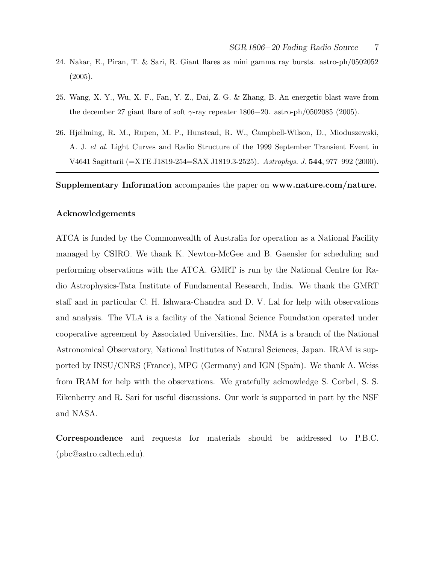- 24. Nakar, E., Piran, T. & Sari, R. Giant flares as mini gamma ray bursts. astro-ph/0502052 (2005).
- 25. Wang, X. Y., Wu, X. F., Fan, Y. Z., Dai, Z. G. & Zhang, B. An energetic blast wave from the december 27 giant flare of soft  $\gamma$ -ray repeater 1806−20. astro-ph/0502085 (2005).
- 26. Hjellming, R. M., Rupen, M. P., Hunstead, R. W., Campbell-Wilson, D., Mioduszewski, A. J. et al. Light Curves and Radio Structure of the 1999 September Transient Event in V4641 Sagittarii (=XTE J1819-254=SAX J1819.3-2525). Astrophys. J. 544, 977–992 (2000).

Supplementary Information accompanies the paper on www.nature.com/nature.

#### Acknowledgements

ATCA is funded by the Commonwealth of Australia for operation as a National Facility managed by CSIRO. We thank K. Newton-McGee and B. Gaensler for scheduling and performing observations with the ATCA. GMRT is run by the National Centre for Radio Astrophysics-Tata Institute of Fundamental Research, India. We thank the GMRT staff and in particular C. H. Ishwara-Chandra and D. V. Lal for help with observations and analysis. The VLA is a facility of the National Science Foundation operated under cooperative agreement by Associated Universities, Inc. NMA is a branch of the National Astronomical Observatory, National Institutes of Natural Sciences, Japan. IRAM is supported by INSU/CNRS (France), MPG (Germany) and IGN (Spain). We thank A. Weiss from IRAM for help with the observations. We gratefully acknowledge S. Corbel, S. S. Eikenberry and R. Sari for useful discussions. Our work is supported in part by the NSF and NASA.

Correspondence and requests for materials should be addressed to P.B.C. (pbc@astro.caltech.edu).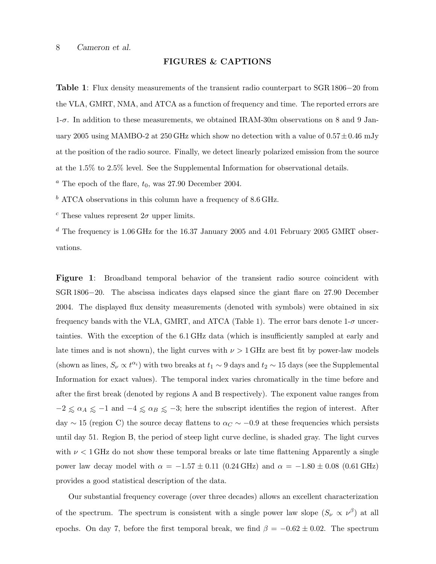#### FIGURES & CAPTIONS

Table 1: Flux density measurements of the transient radio counterpart to SGR 1806−20 from the VLA, GMRT, NMA, and ATCA as a function of frequency and time. The reported errors are  $1-\sigma$ . In addition to these measurements, we obtained IRAM-30m observations on 8 and 9 January 2005 using MAMBO-2 at 250 GHz which show no detection with a value of  $0.57 \pm 0.46$  mJy at the position of the radio source. Finally, we detect linearly polarized emission from the source at the 1.5% to 2.5% level. See the Supplemental Information for observational details.

 $a$  The epoch of the flare,  $t_0$ , was 27.90 December 2004.

 $^b$  ATCA observations in this column have a frequency of  $8.6\,\mathrm{GHz}.$ 

<sup>c</sup> These values represent  $2\sigma$  upper limits.

 $d$  The frequency is 1.06 GHz for the 16.37 January 2005 and 4.01 February 2005 GMRT observations.

Figure 1: Broadband temporal behavior of the transient radio source coincident with SGR 1806−20. The abscissa indicates days elapsed since the giant flare on 27.90 December 2004. The displayed flux density measurements (denoted with symbols) were obtained in six frequency bands with the VLA, GMRT, and ATCA (Table 1). The error bars denote  $1-\sigma$  uncertainties. With the exception of the 6.1 GHz data (which is insufficiently sampled at early and late times and is not shown), the light curves with  $\nu > 1$  GHz are best fit by power-law models (shown as lines,  $S_{\nu} \propto t^{\alpha_i}$ ) with two breaks at  $t_1 \sim 9$  days and  $t_2 \sim 15$  days (see the Supplemental Information for exact values). The temporal index varies chromatically in the time before and after the first break (denoted by regions A and B respectively). The exponent value ranges from  $-2 \le \alpha_A \le -1$  and  $-4 \le \alpha_B \le -3$ ; here the subscript identifies the region of interest. After day  $\sim$  15 (region C) the source decay flattens to  $\alpha$ <sub>C</sub>  $\sim$  −0.9 at these frequencies which persists until day 51. Region B, the period of steep light curve decline, is shaded gray. The light curves with  $\nu < 1$  GHz do not show these temporal breaks or late time flattening Apparently a single power law decay model with  $\alpha = -1.57 \pm 0.11$  (0.24 GHz) and  $\alpha = -1.80 \pm 0.08$  (0.61 GHz) provides a good statistical description of the data.

Our substantial frequency coverage (over three decades) allows an excellent characterization of the spectrum. The spectrum is consistent with a single power law slope  $(S_{\nu} \propto \nu^{\beta})$  at all epochs. On day 7, before the first temporal break, we find  $\beta = -0.62 \pm 0.02$ . The spectrum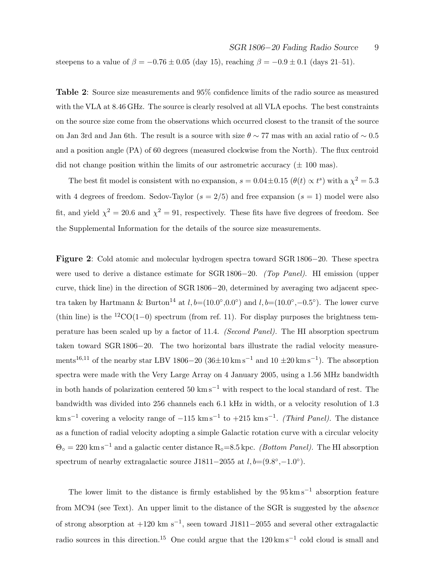steepens to a value of  $\beta = -0.76 \pm 0.05$  (day 15), reaching  $\beta = -0.9 \pm 0.1$  (days 21–51).

Table 2: Source size measurements and 95% confidence limits of the radio source as measured with the VLA at 8.46 GHz. The source is clearly resolved at all VLA epochs. The best constraints on the source size come from the observations which occurred closest to the transit of the source on Jan 3rd and Jan 6th. The result is a source with size  $\theta \sim 77$  mas with an axial ratio of  $\sim 0.5$ and a position angle (PA) of 60 degrees (measured clockwise from the North). The flux centroid did not change position within the limits of our astrometric accuracy  $(\pm 100 \text{ mas})$ .

The best fit model is consistent with no expansion,  $s = 0.04 \pm 0.15$  ( $\theta(t) \propto t^s$ ) with a  $\chi^2 = 5.3$ with 4 degrees of freedom. Sedov-Taylor  $(s = 2/5)$  and free expansion  $(s = 1)$  model were also fit, and yield  $\chi^2 = 20.6$  and  $\chi^2 = 91$ , respectively. These fits have five degrees of freedom. See the Supplemental Information for the details of the source size measurements.

Figure 2: Cold atomic and molecular hydrogen spectra toward SGR 1806−20. These spectra were used to derive a distance estimate for SGR 1806−20. (Top Panel). HI emission (upper curve, thick line) in the direction of SGR 1806−20, determined by averaging two adjacent spectra taken by Hartmann & Burton<sup>14</sup> at  $l, b=(10.0°, 0.0°)$  and  $l, b=(10.0°, -0.5°)$ . The lower curve (thin line) is the  $12\text{CO}(1-0)$  spectrum (from ref. 11). For display purposes the brightness temperature has been scaled up by a factor of 11.4. (Second Panel). The HI absorption spectrum taken toward SGR 1806−20. The two horizontal bars illustrate the radial velocity measurements<sup>16,11</sup> of the nearby star LBV 1806–20  $(36\pm10 \text{ km s}^{-1} \text{ and } 10 \pm 20 \text{ km s}^{-1})$ . The absorption spectra were made with the Very Large Array on 4 January 2005, using a 1.56 MHz bandwidth in both hands of polarization centered 50 km s<sup> $-1$ </sup> with respect to the local standard of rest. The bandwidth was divided into 256 channels each 6.1 kHz in width, or a velocity resolution of 1.3  $\mathrm{km\,s^{-1}}$  covering a velocity range of  $-115 \mathrm{km\,s^{-1}}$  to  $+215 \mathrm{km\,s^{-1}}$ . (Third Panel). The distance as a function of radial velocity adopting a simple Galactic rotation curve with a circular velocity  $\Theta_{\circ} = 220 \text{ km s}^{-1}$  and a galactic center distance R<sub>○</sub>=8.5 kpc. *(Bottom Panel)*. The HI absorption spectrum of nearby extragalactic source J1811–2055 at  $l, b = (9.8°, -1.0°)$ .

The lower limit to the distance is firmly established by the  $95 \,\mathrm{km \, s^{-1}}$  absorption feature from MC94 (see Text). An upper limit to the distance of the SGR is suggested by the absence of strong absorption at +120 km s−<sup>1</sup> , seen toward J1811−2055 and several other extragalactic radio sources in this direction.<sup>15</sup> One could argue that the  $120 \text{ km s}^{-1}$  cold cloud is small and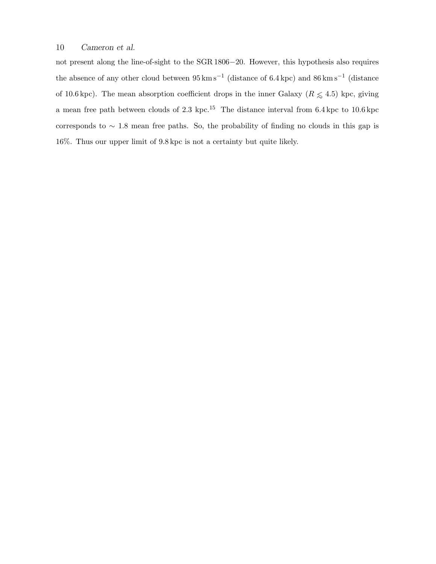not present along the line-of-sight to the SGR 1806−20. However, this hypothesis also requires the absence of any other cloud between  $95 \,\mathrm{km \, s^{-1}}$  (distance of 6.4 kpc) and  $86 \,\mathrm{km \, s^{-1}}$  (distance of 10.6 kpc). The mean absorption coefficient drops in the inner Galaxy ( $R \leq 4.5$ ) kpc, giving a mean free path between clouds of 2.3 kpc.<sup>15</sup> The distance interval from  $6.4$  kpc to  $10.6$  kpc corresponds to ∼ 1.8 mean free paths. So, the probability of finding no clouds in this gap is 16%. Thus our upper limit of 9.8 kpc is not a certainty but quite likely.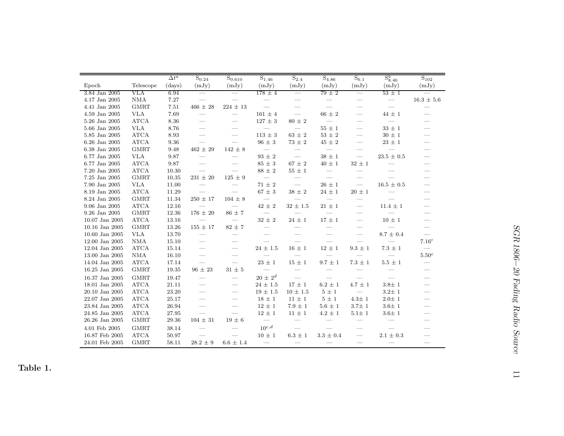|                |                       | $\Delta t^a$ | $S_{0.24}$               | $\mathrm{S}_{0.610}$            | $\mathrm{S}_{1.46}$      | $S_{2.4}$                | $S_{4.86}$               | $S_{6.1}$                       | $S^b_{8.46}$             | $S_{102}$                                                                                                                                                                                                                                                                                                                                                                                                   |
|----------------|-----------------------|--------------|--------------------------|---------------------------------|--------------------------|--------------------------|--------------------------|---------------------------------|--------------------------|-------------------------------------------------------------------------------------------------------------------------------------------------------------------------------------------------------------------------------------------------------------------------------------------------------------------------------------------------------------------------------------------------------------|
| Epoch          | Telescope             | (days)       | (mJy)                    | (mJy)                           | (mJy)                    | (mJy)                    | (mJy)                    | (mJy)                           | (mJy)                    | (mJy)                                                                                                                                                                                                                                                                                                                                                                                                       |
| 3.84 Jan 2005  | VLA                   | 6.94         | $\equiv$                 | $=$                             | $178 \pm 4$              | $=$                      | $79 \pm 2$               | $=$                             | $53 \pm 1$               |                                                                                                                                                                                                                                                                                                                                                                                                             |
| 4.17 Jan 2005  | $\rm NMA$             | 7.27         | $\frac{1}{2}$            |                                 |                          | $\frac{1}{2}$            |                          |                                 |                          | $16.3 \pm 5.6$                                                                                                                                                                                                                                                                                                                                                                                              |
| 4.41 Jan 2005  | <b>GMRT</b>           | 7.51         | $466\,\pm\,28$           | $224 \pm 13$                    | $\overline{\phantom{m}}$ | $\qquad \qquad$          |                          | $\qquad \qquad$                 | $\overline{\phantom{m}}$ |                                                                                                                                                                                                                                                                                                                                                                                                             |
| 4.59 Jan 2005  | <b>VLA</b>            | 7.69         | $\overline{\phantom{m}}$ | $\frac{1}{2}$                   | $161 \pm 4$              | $\overline{\phantom{m}}$ | $66 \pm 2$               | $\overbrace{\qquad \qquad }^{}$ | $44 \pm 1$               | $\hspace{1.0cm} \overline{\hspace{1.0cm} \hspace{1.0cm} \hspace{1.0cm} } \hspace{1.0cm} \hspace{1.0cm} \overline{\hspace{1.0cm} \hspace{1.0cm} } \hspace{1.0cm} \hspace{1.0cm} } \hspace{1.0cm} \overline{\hspace{1.0cm} \hspace{1.0cm} } \hspace{1.0cm} \hspace{1.0cm} \overline{\hspace{1.0cm} \hspace{1.0cm} } \hspace{1.0cm} } \hspace{1.0cm} \overline{\hspace{1.0cm} \hspace{1.0cm} } \hspace{1.0cm}$ |
| 5.26 Jan 2005  | $\operatorname{ATCA}$ | 8.36         | $\overline{\phantom{a}}$ | $\hspace{0.05cm}$               | $127\,\pm\,3$            | $80\,\pm\,2$             |                          | $\overline{\phantom{0}}$        | $\frac{1}{2}$            |                                                                                                                                                                                                                                                                                                                                                                                                             |
| 5.66 Jan 2005  | <b>VLA</b>            | 8.76         |                          | $\qquad \qquad$                 |                          |                          | $55\,\pm\,1$             | $\overline{\phantom{0}}$        | $33\,\pm\,1$             |                                                                                                                                                                                                                                                                                                                                                                                                             |
| 5.85 Jan 2005  | ATCA                  | 8.93         | $\overline{\phantom{0}}$ |                                 | $113\,\pm\,3$            | $63\,\pm\,2$             | $53\,\pm\,2$             |                                 | $30 \pm 1$               |                                                                                                                                                                                                                                                                                                                                                                                                             |
| 6.26 Jan 2005  | ATCA                  | 9.36         |                          |                                 | $96\,\pm\,3$             | $73\,\pm\,2$             | $45\,\pm\,2$             |                                 | $23\,\pm\,1$             |                                                                                                                                                                                                                                                                                                                                                                                                             |
| 6.38 Jan 2005  | <b>GMRT</b>           | 9.48         | $462\,\pm\,29$           | $142\,\pm\,8$                   | $\overline{\phantom{m}}$ |                          | $\overline{\phantom{m}}$ |                                 | $\overline{\phantom{0}}$ |                                                                                                                                                                                                                                                                                                                                                                                                             |
| 6.77 Jan 2005  | <b>VLA</b>            | 9.87         |                          |                                 | $93\,\pm\,2$             |                          | $38\,\pm\,1$             | $\qquad \qquad$                 | $23.5 \pm 0.5$           |                                                                                                                                                                                                                                                                                                                                                                                                             |
| 6.77 Jan 2005  | $\operatorname{ATCA}$ | 9.87         | $\overline{\phantom{0}}$ |                                 | $85\,\pm\,3$             | $67\,\pm\,2$             | $40 \pm 1$               | $32 \pm 1$                      |                          |                                                                                                                                                                                                                                                                                                                                                                                                             |
| 7.20 Jan 2005  | <b>ATCA</b>           | 10.30        |                          |                                 | $88\,\pm\,2$             | $55\,\pm\,1$             | $\overline{\phantom{m}}$ |                                 |                          |                                                                                                                                                                                                                                                                                                                                                                                                             |
| 7.25 Jan 2005  | <b>GMRT</b>           | 10.35        | $231 \pm 20$             | $125\,\pm\,9$                   | $\equiv$                 | $\overline{\phantom{m}}$ | $\frac{1}{2}$            |                                 |                          |                                                                                                                                                                                                                                                                                                                                                                                                             |
| 7.90 Jan 2005  | <b>VLA</b>            | 11.00        |                          |                                 | $71\,\pm\,2$             | $\overline{\phantom{a}}$ | $26\,\pm\,1$             | $\overline{\phantom{m}}$        | $16.5 \pm 0.5$           |                                                                                                                                                                                                                                                                                                                                                                                                             |
| 8.19 Jan 2005  | ATCA                  | 11.29        |                          | $\overline{\phantom{0}}$        | $67\,\pm\,3$             | $38\,\pm\,2$             | $24 \pm 1$               | $20\,\pm\,1$                    |                          |                                                                                                                                                                                                                                                                                                                                                                                                             |
| 8.24 Jan 2005  | <b>GMRT</b>           | 11.34        | $250 \pm 17$             | $104 \pm 8$                     | $\overline{\phantom{m}}$ |                          |                          | $\overline{\phantom{a}}$        |                          |                                                                                                                                                                                                                                                                                                                                                                                                             |
| 9.06 Jan 2005  | <b>ATCA</b>           | 12.16        |                          |                                 | $42\,\pm\,2$             | $32\,\pm\,1.5$           | $21\,\pm\,1$             |                                 | $11.4$ $\pm$ $1$         |                                                                                                                                                                                                                                                                                                                                                                                                             |
| 9.26 Jan 2005  | <b>GMRT</b>           | 12.36        | $176 \pm 20$             | $86\,\pm\,7$                    | $\frac{1}{2}$            |                          |                          | $\equiv$                        |                          |                                                                                                                                                                                                                                                                                                                                                                                                             |
| 10.07 Jan 2005 | <b>ATCA</b>           | 13.16        |                          |                                 | $32\,\pm\,2$             | $24\,\pm\,1$             | $17\,\pm\,1$             | $\equiv$                        | $10\,\pm\,1$             | $\overline{\phantom{0}}$                                                                                                                                                                                                                                                                                                                                                                                    |
| 10.16 Jan 2005 | <b>GMRT</b>           | 13.26        | $155\,\pm\,17$           | $82\,\pm\,7$                    | $\equiv$                 | $\equiv$                 | $\overline{\phantom{0}}$ | $\overline{\phantom{0}}$        | $=$                      | $\equiv$                                                                                                                                                                                                                                                                                                                                                                                                    |
| 10.60 Jan 2005 | <b>VLA</b>            | 13.70        |                          |                                 |                          |                          |                          |                                 | $8.7\,\pm\,0.4$          |                                                                                                                                                                                                                                                                                                                                                                                                             |
| 12.00 Jan 2005 | <b>NMA</b>            | 15.10        | $\frac{1}{2}$            |                                 |                          |                          | $\overline{\phantom{0}}$ | $\frac{1}{2}$                   |                          | $7.16^c$                                                                                                                                                                                                                                                                                                                                                                                                    |
| 12.04 Jan 2005 | <b>ATCA</b>           | 15.14        |                          | $\hspace{0.05cm}$               | $24\,\pm\,1.5$           | $16\,\pm\,1$             | $12\,\pm\,1$             | $9.3\,\pm\,1$                   | $7.3\,\pm\,1$            | $\overline{\phantom{m}}$                                                                                                                                                                                                                                                                                                                                                                                    |
| 13.00 Jan 2005 | <b>NMA</b>            | 16.10        | $\overline{\phantom{m}}$ | $\overbrace{\qquad \qquad }^{}$ | $\frac{1}{2}$            | $\equiv$                 | $\equiv$                 |                                 |                          | $5.50^c$                                                                                                                                                                                                                                                                                                                                                                                                    |
| 14.04 Jan 2005 | <b>ATCA</b>           | 17.14        | $\frac{1}{2}$            | $\frac{1}{2}$                   | $23\,\pm\,1$             | $15\,\pm\,1$             | $9.7\pm1$                | $7.3\,\pm\,1$                   | $5.5$ $\pm$ $1$          | $\overbrace{\qquad \qquad }^{ }$                                                                                                                                                                                                                                                                                                                                                                            |
| 16.25 Jan 2005 | <b>GMRT</b>           | 19.35        | $96 \pm 23$              | $31 \pm 5$                      | $\overline{\phantom{m}}$ | $\overline{\phantom{m}}$ |                          |                                 |                          | $\overline{\phantom{0}}$                                                                                                                                                                                                                                                                                                                                                                                    |
| 16.37 Jan 2005 | <b>GMRT</b>           | 19.47        | $\equiv$                 | $\equiv$                        | $20 \pm 2^d$             | $\overline{\phantom{0}}$ | $\equiv$                 |                                 |                          |                                                                                                                                                                                                                                                                                                                                                                                                             |
| 18.01 Jan 2005 | <b>ATCA</b>           | 21.11        | $\equiv$                 |                                 | $24 \pm 1.5$             | $17\pm1$                 | $6.2 \pm 1$              | $4.7\,\pm\,1$                   | $3.8 \pm 1$              |                                                                                                                                                                                                                                                                                                                                                                                                             |
| 20.10 Jan 2005 | <b>ATCA</b>           | 23.20        | $\equiv$                 | $\overline{\phantom{a}}$        | $19 \pm 1.5$             | $10 \pm 1.5$             | $5 \pm 1$                |                                 | $3.2 \pm 1$              |                                                                                                                                                                                                                                                                                                                                                                                                             |
| 22.07 Jan 2005 | <b>ATCA</b>           | 25.17        | $\overline{\phantom{0}}$ | $\hspace{0.05cm}$               | $18 \pm 1$               | $11 \pm 1$               | $5 \pm 1$                | $4.3 \pm 1$                     | $2.0 \pm 1$              |                                                                                                                                                                                                                                                                                                                                                                                                             |
| 23.84 Jan 2005 | <b>ATCA</b>           | 26.94        | $\overline{\phantom{0}}$ |                                 | $12\,\pm\,1$             | $7.9 \pm 1$              | $5.6\pm1$                | $3.7\pm\,1$                     | $3.6 \pm 1$              |                                                                                                                                                                                                                                                                                                                                                                                                             |
| 24.85 Jan 2005 | <b>ATCA</b>           | 27.95        |                          |                                 | $12 \pm 1$               | $11\,\pm\,1$             | $4.2\pm1$                | $5.1 \pm 1$                     | $3.6\pm$ 1               |                                                                                                                                                                                                                                                                                                                                                                                                             |
| 26.26 Jan 2005 | <b>GMRT</b>           | 29.36        | $104\,\pm\,31$           | $19\,\pm\,6$                    | $\overline{\phantom{m}}$ | $\equiv$                 |                          |                                 |                          |                                                                                                                                                                                                                                                                                                                                                                                                             |
| 4.01 Feb 2005  | <b>GMRT</b>           | 38.14        |                          |                                 | $10^{c,d}$               |                          |                          |                                 |                          |                                                                                                                                                                                                                                                                                                                                                                                                             |
| 16.87 Feb 2005 | <b>ATCA</b>           | 50.97        |                          |                                 | $10 \pm 1$               | $6.3\,\pm\,1$            | $3.3 \pm 0.4$            |                                 | $2.1\,\pm\,0.3$          |                                                                                                                                                                                                                                                                                                                                                                                                             |
| 24.01 Feb 2005 | <b>GMRT</b>           | 58.11        | $28.2 \pm 9$             | $6.6 \pm 1.4$                   | $\overline{\phantom{m}}$ |                          |                          |                                 | $\overline{\phantom{0}}$ |                                                                                                                                                                                                                                                                                                                                                                                                             |

Table 1.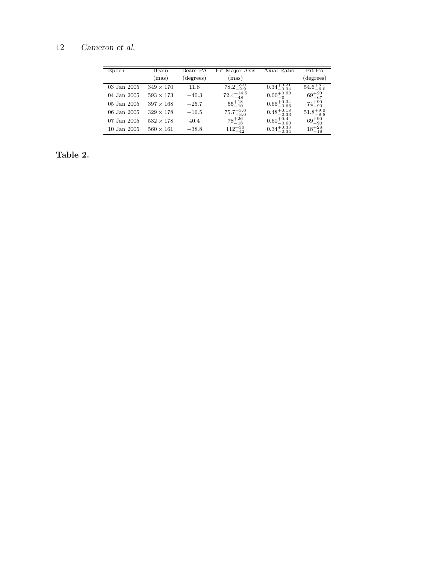| Epoch       | Beam<br>(mas)    | Beam PA<br>(degrees) | Fit Major Axis<br>(mas) | Axial Ratio            | Fit PA<br>(degrees)  |
|-------------|------------------|----------------------|-------------------------|------------------------|----------------------|
| 03 Jan 2005 | $349 \times 170$ | 11.8                 | $78.2^{+3.0}_{-2.9}$    | $0.34_{-0.34}^{+0.21}$ | $54.6^{+6.7}_{-6.0}$ |
| 04 Jan 2005 | $593 \times 173$ | $-40.3$              | $72.4^{+14.5}_{-48}$    | $0.00^{+0.90}_{-0}$    | $69^{+20}_{-67}$     |
| 05 Jan 2005 | $397 \times 168$ | $-25.7$              | $55^{+18}_{-10}$        | $0.66^{+0.34}_{-0.66}$ | $74^{+90}_{-90}$     |
| 06 Jan 2005 | $329 \times 178$ | $-16.5$              | $75.7^{+3.0}_{-3.0}$    | $0.48^{+0.18}_{-0.33}$ | $51.8^{+9.0}_{-8.8}$ |
| 07 Jan 2005 | $532 \times 178$ | 40.4                 | $78^{+26}_{-18}$        | $0.60^{+0.4}_{-0.60}$  | $69^{+90}_{-90}$     |
| 10 Jan 2005 | $560 \times 161$ | $-38.8$              | $112^{+30}_{-42}$       | $0.34_{-0.34}^{+0.33}$ | $18^{+28}_{-18}$     |

# Table 2.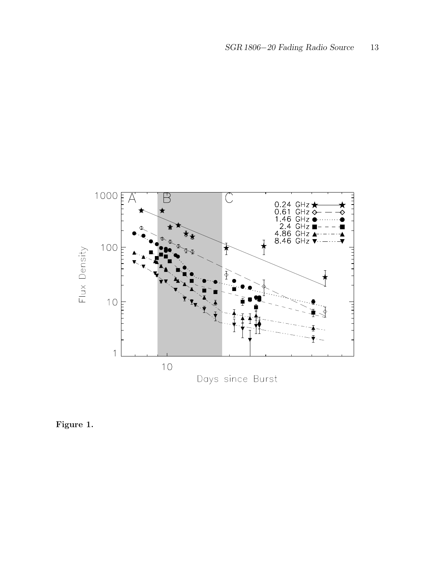

Figure 1.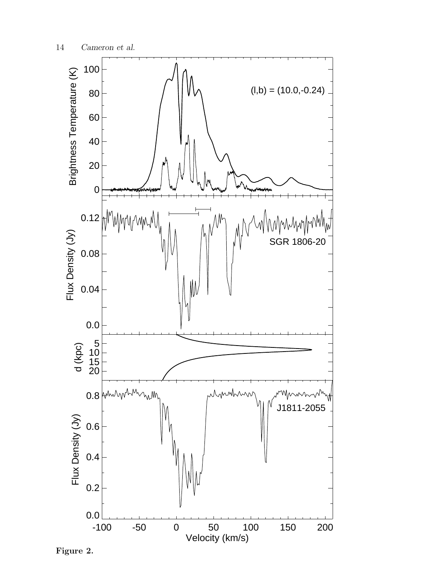

Figure 2.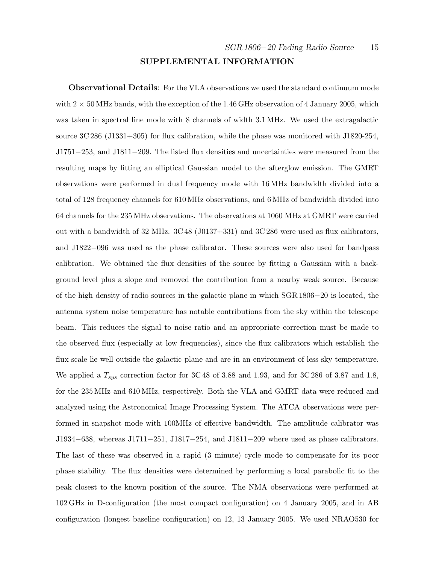#### SUPPLEMENTAL INFORMATION

Observational Details: For the VLA observations we used the standard continuum mode with  $2 \times 50$  MHz bands, with the exception of the 1.46 GHz observation of 4 January 2005, which was taken in spectral line mode with 8 channels of width 3.1 MHz. We used the extragalactic source 3C 286 (J1331+305) for flux calibration, while the phase was monitored with J1820-254, J1751−253, and J1811−209. The listed flux densities and uncertainties were measured from the resulting maps by fitting an elliptical Gaussian model to the afterglow emission. The GMRT observations were performed in dual frequency mode with 16 MHz bandwidth divided into a total of 128 frequency channels for 610 MHz observations, and 6 MHz of bandwidth divided into 64 channels for the 235 MHz observations. The observations at 1060 MHz at GMRT were carried out with a bandwidth of 32 MHz. 3C 48 (J0137+331) and 3C 286 were used as flux calibrators, and J1822−096 was used as the phase calibrator. These sources were also used for bandpass calibration. We obtained the flux densities of the source by fitting a Gaussian with a background level plus a slope and removed the contribution from a nearby weak source. Because of the high density of radio sources in the galactic plane in which SGR 1806−20 is located, the antenna system noise temperature has notable contributions from the sky within the telescope beam. This reduces the signal to noise ratio and an appropriate correction must be made to the observed flux (especially at low frequencies), since the flux calibrators which establish the flux scale lie well outside the galactic plane and are in an environment of less sky temperature. We applied a  $T_{sys}$  correction factor for 3C 48 of 3.88 and 1.93, and for 3C 286 of 3.87 and 1.8, for the 235 MHz and 610 MHz, respectively. Both the VLA and GMRT data were reduced and analyzed using the Astronomical Image Processing System. The ATCA observations were performed in snapshot mode with 100MHz of effective bandwidth. The amplitude calibrator was J1934−638, whereas J1711−251, J1817−254, and J1811−209 where used as phase calibrators. The last of these was observed in a rapid (3 minute) cycle mode to compensate for its poor phase stability. The flux densities were determined by performing a local parabolic fit to the peak closest to the known position of the source. The NMA observations were performed at 102 GHz in D-configuration (the most compact configuration) on 4 January 2005, and in AB configuration (longest baseline configuration) on 12, 13 January 2005. We used NRAO530 for